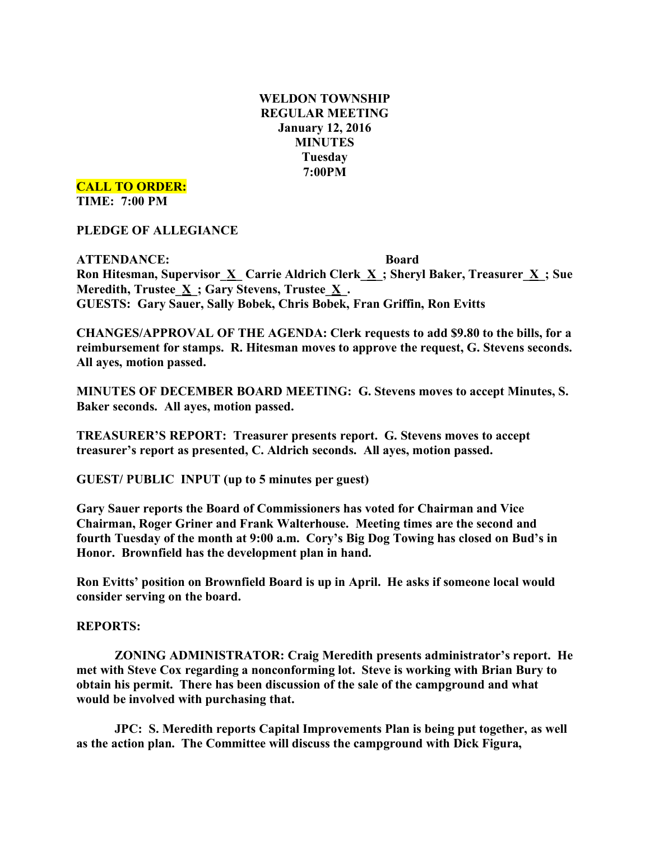# **WELDON TOWNSHIP REGULAR MEETING January 12, 2016 MINUTES Tuesday 7:00PM**

**CALL TO ORDER:**

**TIME: 7:00 PM**

**PLEDGE OF ALLEGIANCE**

**ATTENDANCE: Board Ron Hitesman, Supervisor\_X\_ Carrie Aldrich Clerk\_X\_; Sheryl Baker, Treasurer\_X\_; Sue Meredith, Trustee\_X\_; Gary Stevens, Trustee\_X\_. GUESTS: Gary Sauer, Sally Bobek, Chris Bobek, Fran Griffin, Ron Evitts**

**CHANGES/APPROVAL OF THE AGENDA: Clerk requests to add \$9.80 to the bills, for a reimbursement for stamps. R. Hitesman moves to approve the request, G. Stevens seconds. All ayes, motion passed.**

**MINUTES OF DECEMBER BOARD MEETING: G. Stevens moves to accept Minutes, S. Baker seconds. All ayes, motion passed.**

**TREASURER'S REPORT: Treasurer presents report. G. Stevens moves to accept treasurer's report as presented, C. Aldrich seconds. All ayes, motion passed.**

**GUEST/ PUBLIC INPUT (up to 5 minutes per guest)**

**Gary Sauer reports the Board of Commissioners has voted for Chairman and Vice Chairman, Roger Griner and Frank Walterhouse. Meeting times are the second and fourth Tuesday of the month at 9:00 a.m. Cory's Big Dog Towing has closed on Bud's in Honor. Brownfield has the development plan in hand.**

**Ron Evitts' position on Brownfield Board is up in April. He asks if someone local would consider serving on the board.**

## **REPORTS:**

**ZONING ADMINISTRATOR: Craig Meredith presents administrator's report. He met with Steve Cox regarding a nonconforming lot. Steve is working with Brian Bury to obtain his permit. There has been discussion of the sale of the campground and what would be involved with purchasing that.**

**JPC: S. Meredith reports Capital Improvements Plan is being put together, as well as the action plan. The Committee will discuss the campground with Dick Figura,**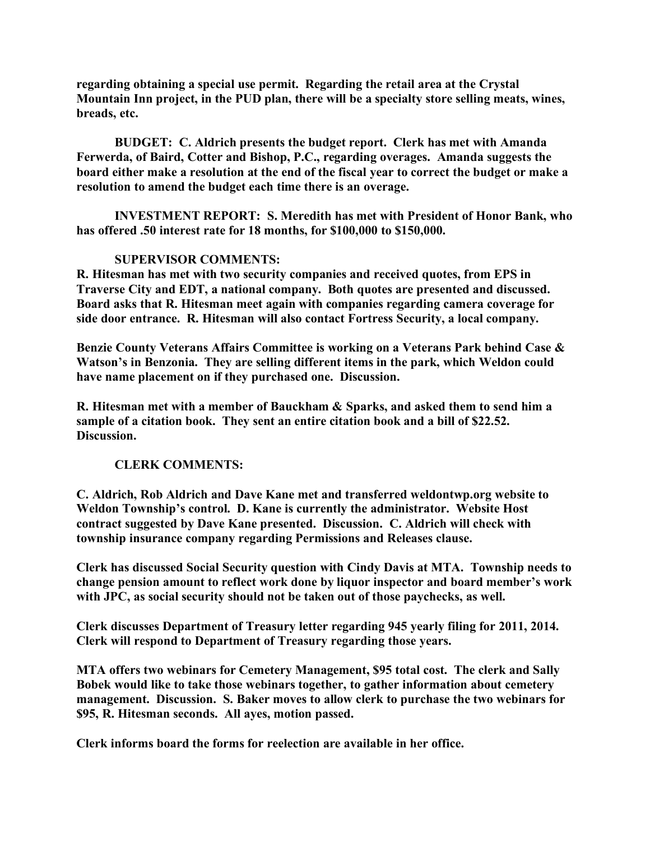**regarding obtaining a special use permit. Regarding the retail area at the Crystal Mountain Inn project, in the PUD plan, there will be a specialty store selling meats, wines, breads, etc.**

**BUDGET: C. Aldrich presents the budget report. Clerk has met with Amanda Ferwerda, of Baird, Cotter and Bishop, P.C., regarding overages. Amanda suggests the** board either make a resolution at the end of the fiscal year to correct the budget or make a **resolution to amend the budget each time there is an overage.**

**INVESTMENT REPORT: S. Meredith has met with President of Honor Bank, who has offered .50 interest rate for 18 months, for \$100,000 to \$150,000.**

# **SUPERVISOR COMMENTS:**

**R. Hitesman has met with two security companies and received quotes, from EPS in Traverse City and EDT, a national company. Both quotes are presented and discussed. Board asks that R. Hitesman meet again with companies regarding camera coverage for side door entrance. R. Hitesman will also contact Fortress Security, a local company.**

**Benzie County Veterans Affairs Committee is working on a Veterans Park behind Case & Watson's in Benzonia. They are selling different items in the park, which Weldon could have name placement on if they purchased one. Discussion.**

**R. Hitesman met with a member of Bauckham & Sparks, and asked them to send him a sample of a citation book. They sent an entire citation book and a bill of \$22.52. Discussion.**

## **CLERK COMMENTS:**

**C. Aldrich, Rob Aldrich and Dave Kane met and transferred weldontwp.org website to Weldon Township's control. D. Kane is currently the administrator. Website Host contract suggested by Dave Kane presented. Discussion. C. Aldrich will check with township insurance company regarding Permissions and Releases clause.**

**Clerk has discussed Social Security question with Cindy Davis at MTA. Township needs to change pension amount to reflect work done by liquor inspector and board member's work with JPC, as social security should not be taken out of those paychecks, as well.**

**Clerk discusses Department of Treasury letter regarding 945 yearly filing for 2011, 2014. Clerk will respond to Department of Treasury regarding those years.**

**MTA offers two webinars for Cemetery Management, \$95 total cost. The clerk and Sally Bobek would like to take those webinars together, to gather information about cemetery management. Discussion. S. Baker moves to allow clerk to purchase the two webinars for \$95, R. Hitesman seconds. All ayes, motion passed.**

**Clerk informs board the forms for reelection are available in her office.**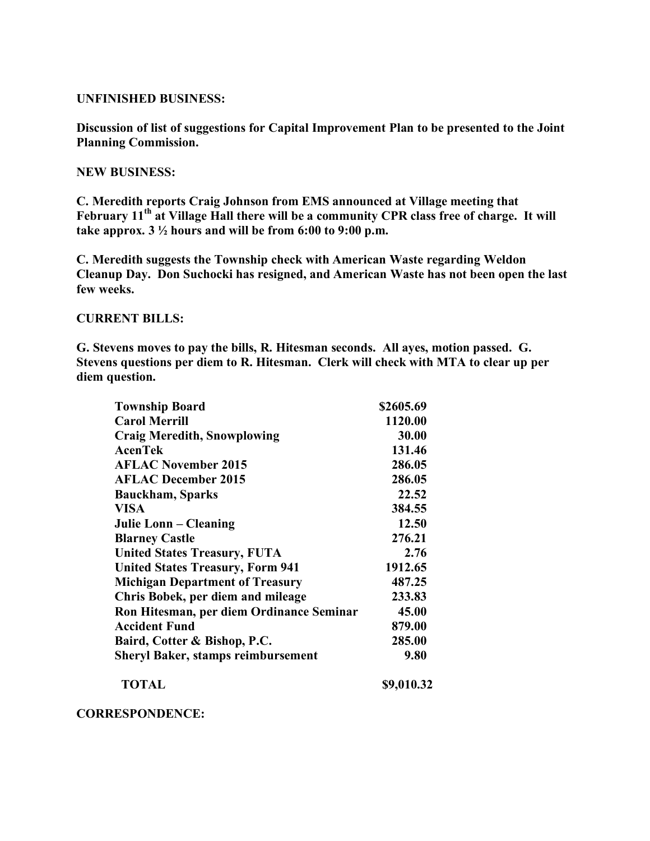### **UNFINISHED BUSINESS:**

**Discussion of list of suggestions for Capital Improvement Plan to be presented to the Joint Planning Commission.**

#### **NEW BUSINESS:**

**C. Meredith reports Craig Johnson from EMS announced at Village meeting that February 11th at Village Hall there will be a community CPR class free of charge. It will take approx. 3 ½ hours and will be from 6:00 to 9:00 p.m.**

**C. Meredith suggests the Township check with American Waste regarding Weldon Cleanup Day. Don Suchocki has resigned, and American Waste has not been open the last few weeks.**

### **CURRENT BILLS:**

**G. Stevens moves to pay the bills, R. Hitesman seconds. All ayes, motion passed. G. Stevens questions per diem to R. Hitesman. Clerk will check with MTA to clear up per diem question.**

| <b>Township Board</b>                     | \$2605.69  |
|-------------------------------------------|------------|
| <b>Carol Merrill</b>                      | 1120.00    |
| <b>Craig Meredith, Snowplowing</b>        | 30.00      |
| <b>AcenTek</b>                            | 131.46     |
| <b>AFLAC November 2015</b>                | 286.05     |
| <b>AFLAC December 2015</b>                | 286.05     |
| <b>Bauckham, Sparks</b>                   | 22.52      |
| <b>VISA</b>                               | 384.55     |
| Julie Lonn – Cleaning                     | 12.50      |
| <b>Blarney Castle</b>                     | 276.21     |
| <b>United States Treasury, FUTA</b>       | 2.76       |
| <b>United States Treasury, Form 941</b>   | 1912.65    |
| <b>Michigan Department of Treasury</b>    | 487.25     |
| Chris Bobek, per diem and mileage         | 233.83     |
| Ron Hitesman, per diem Ordinance Seminar  | 45.00      |
| <b>Accident Fund</b>                      | 879.00     |
| Baird, Cotter & Bishop, P.C.              | 285.00     |
| <b>Sheryl Baker, stamps reimbursement</b> | 9.80       |
| <b>TOTAL</b>                              | \$9,010.32 |

#### **CORRESPONDENCE:**